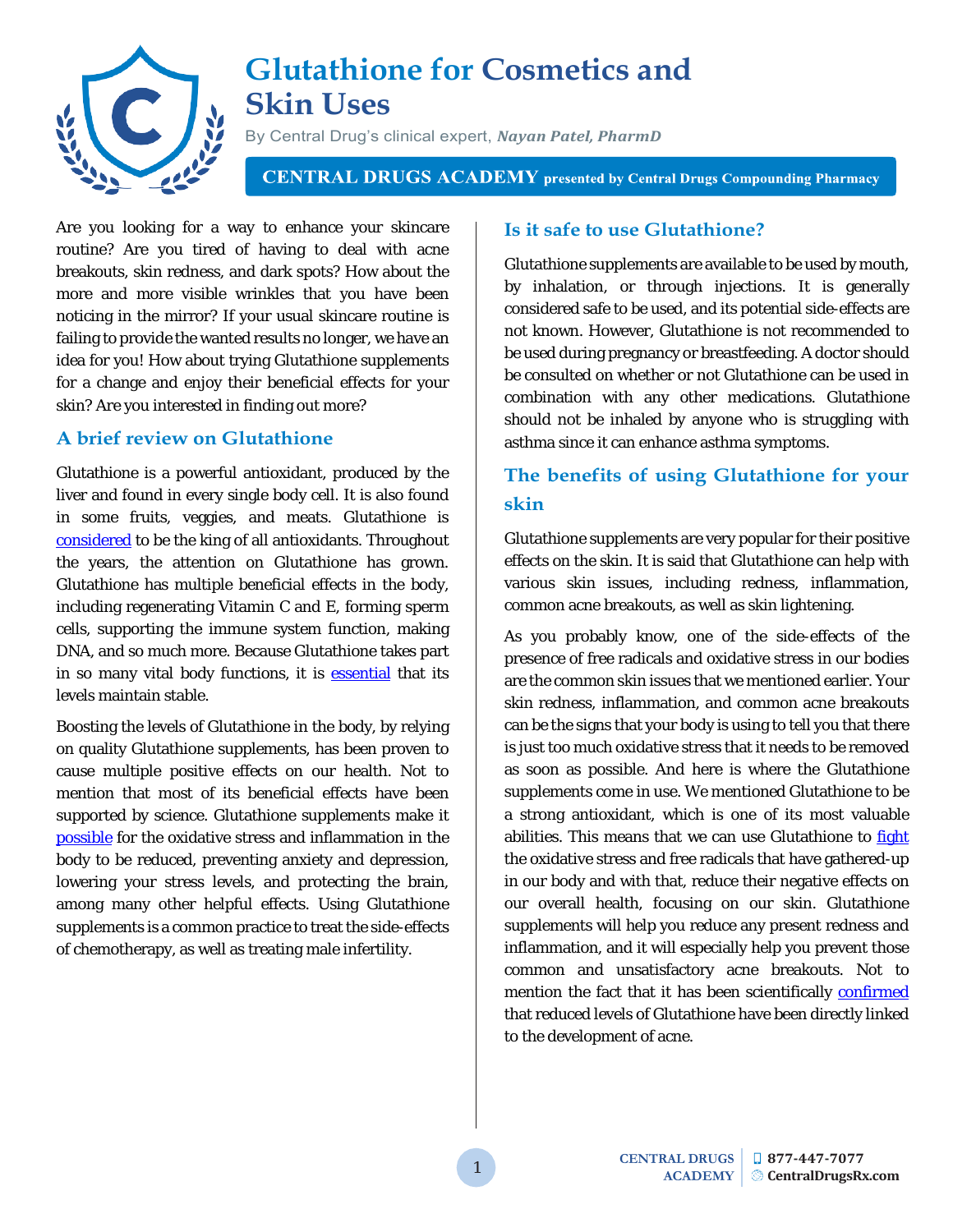

# **Glutathione for Cosmetics and Skin Uses**

By Central Drug's clinical expert, *Nayan Patel, PharmD*

**CENTRAL DRUGS ACADEMY** presented by Central Drugs Compounding Pharmacy

Are you looking for a way to enhance your skincare routine? Are you tired of having to deal with acne breakouts, skin redness, and dark spots? How about the more and more visible wrinkles that you have been noticing in the mirror? If your usual skincare routine is failing to provide the wanted results no longer, we have an idea for you! How about trying Glutathione supplements for a change and enjoy their beneficial effects for your skin? Are you interested in finding out more?

### **A brief review on Glutathione**

Glutathione is a powerful antioxidant, produced by the liver and found in every single body cell. It is also found in some fruits, veggies, and meats. Glutathione is [considered](https://www.ncbi.nlm.nih.gov/pmc/articles/PMC4684116/) to be the king of all antioxidants. Throughout the years, the attention on Glutathione has grown. Glutathione has multiple beneficial effects in the body, including regenerating Vitamin C and E, forming sperm cells, supporting the immune system function, making DNA, and so much more. Because Glutathione takes part in so many vital body functions, it is **essential** that its levels maintain stable.

Boosting the levels of Glutathione in the body, by relying on quality Glutathione supplements, has been proven to cause multiple positive effects on our health. Not to mention that most of its beneficial effects have been supported by science. Glutathione supplements make it [possible](https://www.foundationalmedicinereview.com/blog/a-closer-look-at-the-benefits-of-glutathione-supplementation/) for the oxidative stress and inflammation in the body to be reduced, preventing anxiety and depression, lowering your stress levels, and protecting the brain, among many other helpful effects. Using Glutathione supplements is a common practice to treat the side-effects of chemotherapy, as well as treating male infertility.

### **Is it safe to use Glutathione?**

Glutathione supplements are available to be used by mouth, by inhalation, or through injections. It is generally considered safe to be used, and its potential side-effects are not known. However, Glutathione is not recommended to be used during pregnancy or breastfeeding. A doctor should be consulted on whether or not Glutathione can be used in combination with any other medications. Glutathione should not be inhaled by anyone who is struggling with asthma since it can enhance asthma symptoms.

## **The benefits of using Glutathione for your skin**

Glutathione supplements are very popular for their positive effects on the skin. It is said that Glutathione can help with various skin issues, including redness, inflammation, common acne breakouts, as well as skin lightening.

As you probably know, one of the side-effects of the presence of free radicals and oxidative stress in our bodies are the common skin issues that we mentioned earlier. Your skin redness, inflammation, and common acne breakouts can be the signs that your body is using to tell you that there is just too much oxidative stress that it needs to be removed as soon as possible. And here is where the Glutathione supplements come in use. We mentioned Glutathione to be a strong antioxidant, which is one of its most valuable abilities. This means that we can use Glutathione to [fight](https://www.ncbi.nlm.nih.gov/pubmed/11349462) the oxidative stress and free radicals that have gathered-up in our body and with that, reduce their negative effects on our overall health, focusing on our skin. Glutathione supplements will help you reduce any present redness and inflammation, and it will especially help you prevent those common and unsatisfactory acne breakouts. Not to mention the fact that it has been scientifically [confirmed](https://www.ncbi.nlm.nih.gov/pubmed/21896138) that reduced levels of Glutathione have been directly linked to the development of acne.